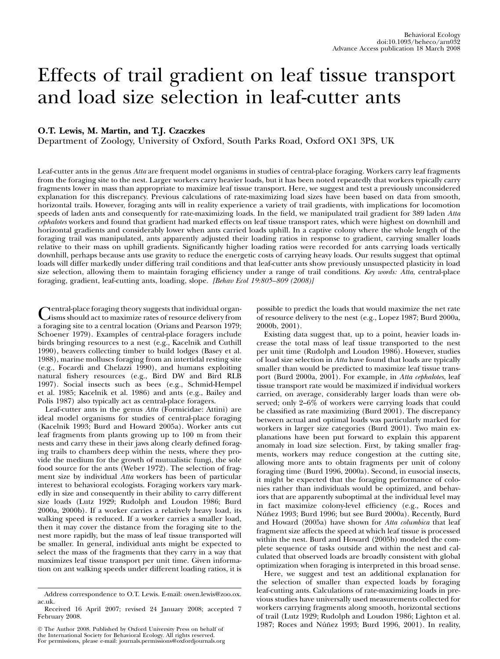# Effects of trail gradient on leaf tissue transport and load size selection in leaf-cutter ants

# O.T. Lewis, M. Martin, and T.J. Czaczkes

Department of Zoology, University of Oxford, South Parks Road, Oxford OX1 3PS, UK

Leaf-cutter ants in the genus Atta are frequent model organisms in studies of central-place foraging. Workers carry leaf fragments from the foraging site to the nest. Larger workers carry heavier loads, but it has been noted repeatedly that workers typically carry fragments lower in mass than appropriate to maximize leaf tissue transport. Here, we suggest and test a previously unconsidered explanation for this discrepancy. Previous calculations of rate-maximizing load sizes have been based on data from smooth, horizontal trails. However, foraging ants will in reality experience a variety of trail gradients, with implications for locomotion speeds of laden ants and consequently for rate-maximizing loads. In the field, we manipulated trail gradient for 389 laden Atta cephalotes workers and found that gradient had marked effects on leaf tissue transport rates, which were highest on downhill and horizontal gradients and considerably lower when ants carried loads uphill. In a captive colony where the whole length of the foraging trail was manipulated, ants apparently adjusted their loading ratios in response to gradient, carrying smaller loads relative to their mass on uphill gradients. Significantly higher loading ratios were recorded for ants carrying loads vertically downhill, perhaps because ants use gravity to reduce the energetic costs of carrying heavy loads. Our results suggest that optimal loads will differ markedly under differing trail conditions and that leaf-cutter ants show previously unsuspected plasticity in load size selection, allowing them to maintain foraging efficiency under a range of trail conditions. Key words: Atta, central-place foraging, gradient, leaf-cutting ants, loading, slope. [Behav Ecol 19:805–809 (2008)]

Central-place foraging theory suggests that individual organ-isms should act to maximize rates of resource delivery from a foraging site to a central location (Orians and Pearson 1979; Schoener 1979). Examples of central-place foragers include birds bringing resources to a nest (e.g., Kacelnik and Cuthill 1990), beavers collecting timber to build lodges (Basey et al. 1988), marine molluscs foraging from an intertidal resting site (e.g., Focardi and Chelazzi 1990), and humans exploiting natural fishery resources (e.g., Bird DW and Bird RLB 1997). Social insects such as bees (e.g., Schmid-Hempel et al. 1985; Kacelnik et al. 1986) and ants (e.g., Bailey and Polis 1987) also typically act as central-place foragers.

Leaf-cutter ants in the genus Atta (Formicidae: Attini) are ideal model organisms for studies of central-place foraging (Kacelnik 1993; Burd and Howard 2005a). Worker ants cut leaf fragments from plants growing up to 100 m from their nests and carry these in their jaws along clearly defined foraging trails to chambers deep within the nests, where they provide the medium for the growth of mutualistic fungi, the sole food source for the ants (Weber 1972). The selection of fragment size by individual Atta workers has been of particular interest to behavioral ecologists. Foraging workers vary markedly in size and consequently in their ability to carry different size loads (Lutz 1929; Rudolph and Loudon 1986; Burd 2000a, 2000b). If a worker carries a relatively heavy load, its walking speed is reduced. If a worker carries a smaller load, then it may cover the distance from the foraging site to the nest more rapidly, but the mass of leaf tissue transported will be smaller. In general, individual ants might be expected to select the mass of the fragments that they carry in a way that maximizes leaf tissue transport per unit time. Given information on ant walking speeds under different loading ratios, it is

 The Author 2008. Published by Oxford University Press on behalf of the International Society for Behavioral Ecology. All rights reserved. For permissions, please e-mail: journals.permissions@oxfordjournals.org possible to predict the loads that would maximize the net rate of resource delivery to the nest (e.g., Lopez 1987; Burd 2000a, 2000b, 2001).

Existing data suggest that, up to a point, heavier loads increase the total mass of leaf tissue transported to the nest per unit time (Rudolph and Loudon 1986). However, studies of load size selection in Atta have found that loads are typically smaller than would be predicted to maximize leaf tissue transport (Burd 2000a, 2001). For example, in Atta cephalotes, leaf tissue transport rate would be maximized if individual workers carried, on average, considerably larger loads than were observed; only 2–6% of workers were carrying loads that could be classified as rate maximizing (Burd 2001). The discrepancy between actual and optimal loads was particularly marked for workers in larger size categories (Burd 2001). Two main explanations have been put forward to explain this apparent anomaly in load size selection. First, by taking smaller fragments, workers may reduce congestion at the cutting site, allowing more ants to obtain fragments per unit of colony foraging time (Burd 1996, 2000a). Second, in eusocial insects, it might be expected that the foraging performance of colonies rather than individuals would be optimized, and behaviors that are apparently suboptimal at the individual level may in fact maximize colony-level efficiency (e.g., Roces and Núñez 1993; Burd 1996; but see Burd 2000a). Recently, Burd and Howard (2005a) have shown for Atta columbica that leaf fragment size affects the speed at which leaf tissue is processed within the nest. Burd and Howard (2005b) modeled the complete sequence of tasks outside and within the nest and calculated that observed loads are broadly consistent with global optimization when foraging is interpreted in this broad sense.

Here, we suggest and test an additional explanation for the selection of smaller than expected loads by foraging leaf-cutting ants. Calculations of rate-maximizing loads in previous studies have universally used measurements collected for workers carrying fragments along smooth, horizontal sections of trail (Lutz 1929; Rudolph and Loudon 1986; Lighton et al. 1987; Roces and Núñez 1993; Burd 1996, 2001). In reality,

Address correspondence to O.T. Lewis. E-mail: owen.lewis@zoo.ox. ac.uk.

Received 16 April 2007; revised 24 January 2008; accepted 7 February 2008.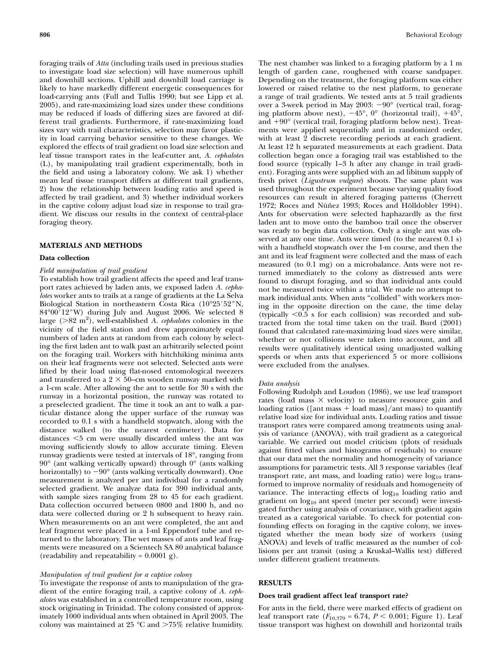foraging trails of Atta (including trails used in previous studies to investigate load size selection) will have numerous uphill and downhill sections. Uphill and downhill load carriage is likely to have markedly different energetic consequences for load-carrying ants (Full and Tullis 1990; but see Lipp et al. 2005), and rate-maximizing load sizes under these conditions may be reduced if loads of differing sizes are favored at different trail gradients. Furthermore, if rate-maximizing load sizes vary with trail characteristics, selection may favor plasticity in load carrying behavior sensitive to these changes. We explored the effects of trail gradient on load size selection and leaf tissue transport rates in the leaf-cutter ant, A. cephalotes (L), by manipulating trail gradient experimentally, both in the field and using a laboratory colony. We ask 1) whether mean leaf tissue transport differs at different trail gradients, 2) how the relationship between loading ratio and speed is affected by trail gradient, and 3) whether individual workers in the captive colony adjust load size in response to trail gradient. We discuss our results in the context of central-place foraging theory.

#### MATERIALS AND METHODS

#### Data collection

## Field manipulation of trail gradient

To establish how trail gradient affects the speed and leaf transport rates achieved by laden ants, we exposed laden A. cephalotes worker ants to trails at a range of gradients at the La Selva Biological Station in northeastern Costa Rica (10°25'52"N,  $84^{\circ}00'12''$ W) during July and August 2006. We selected 8 large ( $>82 \text{ m}^2$ ), well-established A. cephalotes colonies in the vicinity of the field station and drew approximately equal numbers of laden ants at random from each colony by selecting the first laden ant to walk past an arbitrarily selected point on the foraging trail. Workers with hitchhiking minima ants on their leaf fragments were not selected. Selected ants were lifted by their load using flat-nosed entomological tweezers and transferred to a  $2 \times 50$ –cm wooden runway marked with a 1-cm scale. After allowing the ant to settle for 30 s with the runway in a horizontal position, the runway was rotated to a preselected gradient. The time it took an ant to walk a particular distance along the upper surface of the runway was recorded to 0.1 s with a handheld stopwatch, along with the distance walked (to the nearest centimeter). Data for distances <5 cm were usually discarded unless the ant was moving sufficiently slowly to allow accurate timing. Eleven runway gradients were tested at intervals of 18°, ranging from 90° (ant walking vertically upward) through 0° (ants walking horizontally) to  $-90^{\circ}$  (ants walking vertically downward). One measurement is analyzed per ant individual for a randomly selected gradient. We analyze data for 390 individual ants, with sample sizes ranging from 28 to 45 for each gradient. Data collection occurred between 0800 and 1800 h, and no data were collected during or 2 h subsequent to heavy rain. When measurements on an ant were completed, the ant and leaf fragment were placed in a 1-ml Eppendorf tube and returned to the laboratory. The wet masses of ants and leaf fragments were measured on a Scientech SA 80 analytical balance (readability and repeatability =  $0.0001$  g).

## Manipulation of trail gradient for a captive colony

To investigate the response of ants to manipulation of the gradient of the entire foraging trail, a captive colony of A. cephalotes was established in a controlled temperature room, using stock originating in Trinidad. The colony consisted of approximately 1000 individual ants when obtained in April 2003. The colony was maintained at  $25 \text{ °C}$  and  $>75\%$  relative humidity.

The nest chamber was linked to a foraging platform by a 1 m length of garden cane, roughened with coarse sandpaper. Depending on the treatment, the foraging platform was either lowered or raised relative to the nest platform, to generate a range of trail gradients. We tested ants at 5 trail gradients over a 3-week period in May 2003: -90° (vertical trail, foraging platform above nest),  $-45^{\circ}$ , 0° (horizontal trail),  $+45^{\circ}$ , and +90° (vertical trail, foraging platform below nest). Treatments were applied sequentially and in randomized order, with at least 2 discrete recording periods at each gradient. At least 12 h separated measurements at each gradient. Data collection began once a foraging trail was established to the food source (typically 1–3 h after any change in trail gradient). Foraging ants were supplied with an ad libitum supply of fresh privet (Ligustrum vulgare) shoots. The same plant was used throughout the experiment because varying quality food resources can result in altered foraging patterns (Cherrett 1972; Roces and Núñez 1993; Roces and Hölldobler 1994). Ants for observation were selected haphazardly as the first laden ant to move onto the bamboo trail once the observer was ready to begin data collection. Only a single ant was observed at any one time. Ants were timed (to the nearest 0.1 s) with a handheld stopwatch over the 1-m course, and then the ant and its leaf fragment were collected and the mass of each measured (to 0.1 mg) on a microbalance. Ants were not returned immediately to the colony as distressed ants were found to disrupt foraging, and so that individual ants could not be measured twice within a trial. We made no attempt to mark individual ants. When ants "collided" with workers moving in the opposite direction on the cane, the time delay (typically  $\leq 0.5$  s for each collision) was recorded and subtracted from the total time taken on the trail. Burd (2001) found that calculated rate-maximizing load sizes were similar, whether or not collisions were taken into account, and all results were qualitatively identical using unadjusted walking speeds or when ants that experienced 5 or more collisions were excluded from the analyses.

#### Data analysis

Following Rudolph and Loudon (1986), we use leaf transport rates (load mass  $\times$  velocity) to measure resource gain and loading ratios ([ant mass  $+$  load mass]/ant mass) to quantify relative load size for individual ants. Loading ratios and tissue transport rates were compared among treatments using analysis of variance (ANOVA), with trail gradient as a categorical variable. We carried out model criticism (plots of residuals against fitted values and histograms of residuals) to ensure that our data met the normality and homogeneity of variance assumptions for parametric tests. All 3 response variables (leaf transport rate, ant mass, and loading ratio) were  $log_{10}$  transformed to improve normality of residuals and homogeneity of variance. The interacting effects of  $log_{10}$  loading ratio and gradient on  $log_{10}$  ant speed (meter per second) were investigated further using analysis of covariance, with gradient again treated as a categorical variable. To check for potential confounding effects on foraging in the captive colony, we investigated whether the mean body size of workers (using ANOVA) and levels of traffic measured as the number of collisions per ant transit (using a Kruskal–Wallis test) differed under different gradient treatments.

# **RESULTS**

#### Does trail gradient affect leaf transport rate?

For ants in the field, there were marked effects of gradient on leaf transport rate  $(F_{10,379} = 6.74, P < 0.001;$  Figure 1). Leaf tissue transport was highest on downhill and horizontal trails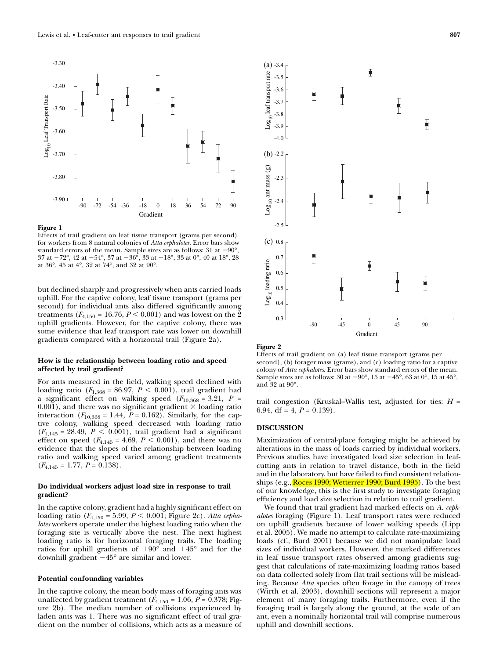

#### Figure 1

Effects of trail gradient on leaf tissue transport (grams per second) for workers from 8 natural colonies of Atta cephalotes. Error bars show standard errors of the mean. Sample sizes are as follows:  $31$  at  $-90^{\circ}$ ,  $37$  at  $-72^{\circ}$ ,  $42$  at  $-54^{\circ}$ ,  $37$  at  $-36^{\circ}$ ,  $33$  at  $-18^{\circ}$ ,  $33$  at  $0^{\circ}$ ,  $40$  at  $18^{\circ}$ ,  $28$ at 36°, 45 at 4°, 32 at 74°, and 32 at 90°.

but declined sharply and progressively when ants carried loads uphill. For the captive colony, leaf tissue transport (grams per second) for individual ants also differed significantly among treatments ( $F_{4,150}$  = 16.76,  $P < 0.001$ ) and was lowest on the 2 uphill gradients. However, for the captive colony, there was some evidence that leaf transport rate was lower on downhill gradients compared with a horizontal trail (Figure 2a).

# How is the relationship between loading ratio and speed affected by trail gradient?

For ants measured in the field, walking speed declined with loading ratio  $(F_{1,368} = 86.97, P \le 0.001)$ , trail gradient had a significant effect on walking speed  $(F_{10,368} = 3.21, P =$  $(0.001)$ , and there was no significant gradient  $\times$  loading ratio interaction ( $F_{10,368} = 1.44$ ,  $P = 0.162$ ). Similarly, for the captive colony, walking speed decreased with loading ratio  $(F_{1,145} = 28.49, P \le 0.001)$ , trail gradient had a significant effect on speed  $(F_{4,145} = 4.69, P \le 0.001)$ , and there was no evidence that the slopes of the relationship between loading ratio and walking speed varied among gradient treatments  $(F_{4,145} = 1.77, P = 0.138).$ 

## Do individual workers adjust load size in response to trail gradient?

In the captive colony, gradient had a highly significant effect on loading ratio ( $F_{4,150}$  = 5.99,  $P < 0.001$ ; Figure 2c). Atta cephalotes workers operate under the highest loading ratio when the foraging site is vertically above the nest. The next highest loading ratio is for horizontal foraging trails. The loading ratios for uphill gradients of  $+90^{\circ}$  and  $+45^{\circ}$  and for the downhill gradient  $-45^{\circ}$  are similar and lower.

#### Potential confounding variables

In the captive colony, the mean body mass of foraging ants was unaffected by gradient treatment ( $F_{4,150}$  = 1.06,  $P$  = 0.378; Figure 2b). The median number of collisions experienced by laden ants was 1. There was no significant effect of trail gradient on the number of collisions, which acts as a measure of



Figure 2

Effects of trail gradient on (a) leaf tissue transport (grams per second), (b) forager mass (grams), and (c) loading ratio for a captive colony of Atta cephalotes. Error bars show standard errors of the mean. Sample sizes are as follows:  $30$  at  $-90^{\circ}$ ,  $15$  at  $-45^{\circ}$ ,  $63$  at  $0^{\circ}$ ,  $15$  at  $45^{\circ}$ , and 32 at 90°.

trail congestion (Kruskal–Wallis test, adjusted for ties:  $H =$ 6.94, df = 4,  $P = 0.139$ .

## DISCUSSION

Maximization of central-place foraging might be achieved by alterations in the mass of loads carried by individual workers. Previous studies have investigated load size selection in leafcutting ants in relation to travel distance, both in the field and in the laboratory, but have failed to find consistent relationships (e.g., Roces 1990; Wetterrer 1990; Burd 1995). To the best of our knowledge, this is the first study to investigate foraging efficiency and load size selection in relation to trail gradient.

We found that trail gradient had marked effects on A. cephalotes foraging (Figure 1). Leaf transport rates were reduced on uphill gradients because of lower walking speeds (Lipp et al. 2005). We made no attempt to calculate rate-maximizing loads (cf., Burd 2001) because we did not manipulate load sizes of individual workers. However, the marked differences in leaf tissue transport rates observed among gradients suggest that calculations of rate-maximizing loading ratios based on data collected solely from flat trail sections will be misleading. Because Atta species often forage in the canopy of trees (Wirth et al. 2003), downhill sections will represent a major element of many foraging trails. Furthermore, even if the foraging trail is largely along the ground, at the scale of an ant, even a nominally horizontal trail will comprise numerous uphill and downhill sections.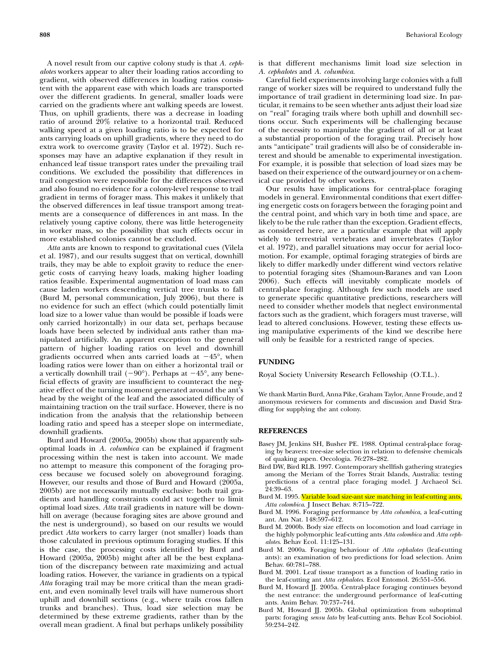A novel result from our captive colony study is that A. cephalotes workers appear to alter their loading ratios according to gradient, with observed differences in loading ratios consistent with the apparent ease with which loads are transported over the different gradients. In general, smaller loads were carried on the gradients where ant walking speeds are lowest. Thus, on uphill gradients, there was a decrease in loading ratio of around 20% relative to a horizontal trail. Reduced walking speed at a given loading ratio is to be expected for ants carrying loads on uphill gradients, where they need to do extra work to overcome gravity (Taylor et al. 1972). Such responses may have an adaptive explanation if they result in enhanced leaf tissue transport rates under the prevailing trail conditions. We excluded the possibility that differences in trail congestion were responsible for the differences observed and also found no evidence for a colony-level response to trail gradient in terms of forager mass. This makes it unlikely that the observed differences in leaf tissue transport among treatments are a consequence of differences in ant mass. In the relatively young captive colony, there was little heterogeneity in worker mass, so the possibility that such effects occur in more established colonies cannot be excluded.

Atta ants are known to respond to gravitational cues (Vilela et al. 1987), and our results suggest that on vertical, downhill trails, they may be able to exploit gravity to reduce the energetic costs of carrying heavy loads, making higher loading ratios feasible. Experimental augmentation of load mass can cause laden workers descending vertical tree trunks to fall (Burd M, personal communication, July 2006), but there is no evidence for such an effect (which could potentially limit load size to a lower value than would be possible if loads were only carried horizontally) in our data set, perhaps because loads have been selected by individual ants rather than manipulated artificially. An apparent exception to the general pattern of higher loading ratios on level and downhill gradients occurred when ants carried loads at  $-45^{\circ}$ , when loading ratios were lower than on either a horizontal trail or a vertically downhill trail  $(-90^{\circ})$ . Perhaps at  $-45^{\circ}$ , any beneficial effects of gravity are insufficient to counteract the negative effect of the turning moment generated around the ant's head by the weight of the leaf and the associated difficulty of maintaining traction on the trail surface. However, there is no indication from the analysis that the relationship between loading ratio and speed has a steeper slope on intermediate, downhill gradients.

Burd and Howard (2005a, 2005b) show that apparently suboptimal loads in A. columbica can be explained if fragment processing within the nest is taken into account. We made no attempt to measure this component of the foraging process because we focused solely on aboveground foraging. However, our results and those of Burd and Howard (2005a, 2005b) are not necessarily mutually exclusive: both trail gradients and handling constraints could act together to limit optimal load sizes. Atta trail gradients in nature will be downhill on average (because foraging sites are above ground and the nest is underground), so based on our results we would predict Atta workers to carry larger (not smaller) loads than those calculated in previous optimum foraging studies. If this is the case, the processing costs identified by Burd and Howard (2005a, 2005b) might after all be the best explanation of the discrepancy between rate maximizing and actual loading ratios. However, the variance in gradients on a typical Atta foraging trail may be more critical than the mean gradient, and even nominally level trails will have numerous short uphill and downhill sections (e.g., where trails cross fallen trunks and branches). Thus, load size selection may be determined by these extreme gradients, rather than by the overall mean gradient. A final but perhaps unlikely possibility is that different mechanisms limit load size selection in A. cephalotes and A. columbica.

Careful field experiments involving large colonies with a full range of worker sizes will be required to understand fully the importance of trail gradient in determining load size. In particular, it remains to be seen whether ants adjust their load size on ''real'' foraging trails where both uphill and downhill sections occur. Such experiments will be challenging because of the necessity to manipulate the gradient of all or at least a substantial proportion of the foraging trail. Precisely how ants "anticipate" trail gradients will also be of considerable interest and should be amenable to experimental investigation. For example, it is possible that selection of load sizes may be based on their experience of the outward journey or on a chemical cue provided by other workers.

Our results have implications for central-place foraging models in general. Environmental conditions that exert differing energetic costs on foragers between the foraging point and the central point, and which vary in both time and space, are likely to be the rule rather than the exception. Gradient effects, as considered here, are a particular example that will apply widely to terrestrial vertebrates and invertebrates (Taylor et al. 1972), and parallel situations may occur for aerial locomotion. For example, optimal foraging strategies of birds are likely to differ markedly under different wind vectors relative to potential foraging sites (Shamoun-Baranes and van Loon 2006). Such effects will inevitably complicate models of central-place foraging. Although few such models are used to generate specific quantitative predictions, researchers will need to consider whether models that neglect environmental factors such as the gradient, which foragers must traverse, will lead to altered conclusions. However, testing these effects using manipulative experiments of the kind we describe here will only be feasible for a restricted range of species.

## FUNDING

Royal Society University Research Fellowship (O.T.L.).

We thank Martin Burd, Anna Pike, Graham Taylor, Anne Froude, and 2 anonymous reviewers for comments and discussion and David Stradling for supplying the ant colony.

# **REFERENCES**

- Basey JM, Jenkins SH, Busher PE. 1988. Optimal central-place foraging by beavers: tree-size selection in relation to defensive chemicals of quaking aspen. Oecologia. 76:278–282.
- Bird DW, Bird RLB. 1997. Contemporary shellfish gathering strategies among the Meriam of the Torres Strait Islands, Australia: testing predictions of a central place foraging model. J Archaeol Sci. 24:39–63.
- Burd M. 1995. Variable load size-ant size matching in leaf-cutting ants, Atta colombica. J Insect Behav. 8:715–722.
- Burd M. 1996. Foraging performance by Atta columbica, a leaf-cutting ant. Am Nat. 148:597–612.
- Burd M. 2000b. Body size effects on locomotion and load carriage in the highly polymorphic leaf-cutting ants Atta colombica and Atta cephalotes. Behav Ecol. 11:125–131.
- Burd M. 2000a. Foraging behaviour of Atta cephalotes (leaf-cutting ants): an examination of two predictions for load selection. Anim Behav. 60:781–788.
- Burd M. 2001. Leaf tissue transport as a function of loading ratio in the leaf-cutting ant Atta cephalotes. Ecol Entomol. 26:551–556.
- Burd M, Howard JJ. 2005a. Central-place foraging continues beyond the nest entrance: the underground performance of leaf-cutting ants. Anim Behav. 70:737–744.
- Burd M, Howard JJ. 2005b. Global optimization from suboptimal parts: foraging sensu lato by leaf-cutting ants. Behav Ecol Sociobiol. 59:234–242.